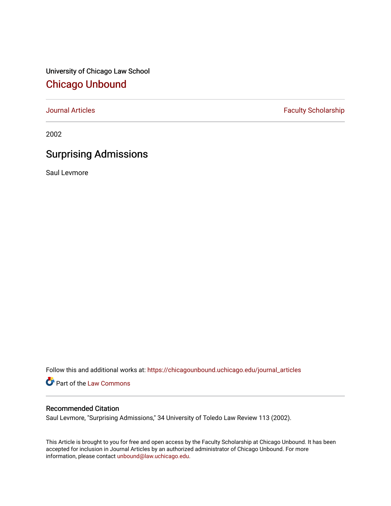University of Chicago Law School [Chicago Unbound](https://chicagounbound.uchicago.edu/)

[Journal Articles](https://chicagounbound.uchicago.edu/journal_articles) **Faculty Scholarship Faculty Scholarship** 

2002

## Surprising Admissions

Saul Levmore

Follow this and additional works at: [https://chicagounbound.uchicago.edu/journal\\_articles](https://chicagounbound.uchicago.edu/journal_articles?utm_source=chicagounbound.uchicago.edu%2Fjournal_articles%2F1581&utm_medium=PDF&utm_campaign=PDFCoverPages) 

Part of the [Law Commons](http://network.bepress.com/hgg/discipline/578?utm_source=chicagounbound.uchicago.edu%2Fjournal_articles%2F1581&utm_medium=PDF&utm_campaign=PDFCoverPages)

## Recommended Citation

Saul Levmore, "Surprising Admissions," 34 University of Toledo Law Review 113 (2002).

This Article is brought to you for free and open access by the Faculty Scholarship at Chicago Unbound. It has been accepted for inclusion in Journal Articles by an authorized administrator of Chicago Unbound. For more information, please contact [unbound@law.uchicago.edu](mailto:unbound@law.uchicago.edu).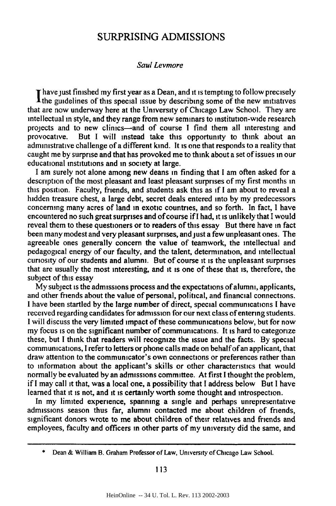## SURPRISING ADMISSIONS

## *Saul Levmore*

**T** have just finished my first year as a Dean, and it is tempting to follow precisely the guidelines of this special issue **by** describing some of the new initiatives that are now underway here at the University of Chicago Law School. They are intellectual in style, and they range from new seminars to institution-wide research projects and to new clinics-and of course **I** find them all interesting and provocative. But **I** will instead take this opportunity to think about an administrative challenge of a different kind. It is one that responds to a reality that caught me **by** surprise and that has provoked me to think about a set of issues in our educational institutions and in society at large.

**I** am surely not alone among new deans in finding that **I** am often asked for a description of the most pleasant and least pleasant surprises of my first months in this position. Faculty, friends, and students ask this as if **I** am about to reveal a hidden treasure chest, a large debt, secret deals entered into **by** my predecessors concerning many acres of land in exotic countries, and so forth. In fact, **I** have encountered no such great surprises and of course if **I** had, it is unlikely that **I** would reveal them to these questioners or to readers of this essay But there have in fact been many modest and very pleasant surprises, and just a few unpleasant ones. The agreeable ones generally concern the value of teamwork, the intellectual and pedagogical energy of our faculty, and the talent, determination, and intellectual curiosity of our students and alumni. But of course it is the unpleasant surprises that are usually the most interesting, and it is one of these that is, therefore, the subject of this essay

**My** subject is the admissions process and the expectations of alumni, applicants, and other friends about the value of personal, political, and financial connections. **I** have been startled **by** the large number of direct, special communications **I** have received regarding candidates for admission for **our** next class of entering students. **I** will discuss the very limited impact of these communications below, but for now my focus is on the significant number of communications. It is hard to categorize these, but **I** think that readers will recognize the issue and the facts. **By** special communications, **I** refer to letters or phone calls made on behalf ofan applicant, that draw attention to the communicator's own connections or preferences rather than to information about the applicant's skills or other characteristics that would normally be evaluated **by** an admissions committee. At first **I** thought the problem, if **I** may call it that, was a local one, a possibility that **I** address below But **I** have learned that it is not, and it is certainly worth some thought and introspection.

In my limited experience, spanning a single and perhaps unrepresentative admissions season thus far, alumni contacted me about children of friends, significant donors wrote to me about children of their relatives and friends and employees, faculty and officers in other parts of my university did the same, and

113

**<sup>\*</sup>** Dean & William B. Graham Professor of Law, University of Chicago Law School.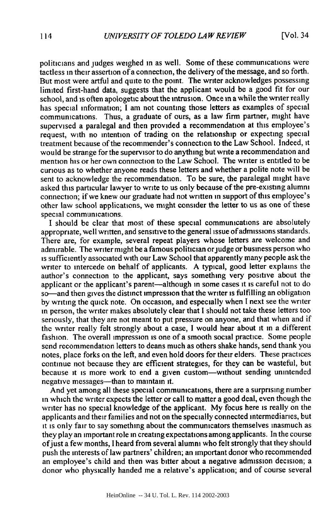politicians and judges weighed in as well. Some of these communications were tactless in their assertion of a connection, the delivery of the message, and so forth. But most were artful and quite to the point. The writer acknowledges possessing limited first-hand data, suggests that the applicant would be a good fit for our school, and is often apologetic about the intrusion. Once in a while the writer really has special information; I am not counting those letters as examples of special communications. Thus, a graduate of ours, as a law firm partner, might have supervised a paralegal and then provided a recommendation at this employee's request, with no intention of trading on the relationship or expecting special treatment because of the recommender's connection to the Law School. Indeed, it would **be** strange for the supervisor to do anything but write a recommendation and mention his or her own connection to the Law School. The writer is entitled to be curious as to whether anyone reads these letters and whether a polite note will be sent to acknowledge the recommendation. To be sure, the paralegal might have asked this particular lawyer to write to us only because of the pre-existing alumni connection; if we knew our graduate had not written in support of this employee's other law school applications, we might consider the letter to us as one of these special communications.

**I** should be clear that most of these special communications are absolutely appropriate, well written, and sensitive to the general issue of admissions standards. There are, for example, several repeat players whose letters are welcome and admirable. The writer might be a famous politician or judge or business person who is sufficiently associated with our Law School that apparently many people ask the writer to intercede on behalf of applicants. A typical, good letter explains the author's connection to the applicant, says something very positive about the applicant or the applicant's parent-although in some cases **it** is careful not to do so-and then gives the distinct impression that the writer is fulfilling an obligation **by** writing the quick note. On occasion, and especially when I next see the writer in person, the writer makes absolutely clear that I should not take these letters too seriously, that they are not meant to put pressure on anyone, and that when and if the writer really felt strongly about a case, I would hear about **it** in a different fashion. The overall impression is one of a smooth social practice. Some people send recommendation letters to deans much as others shake hands, send thank you notes, place forks on the left, and even hold doors for their elders. These practices continue not because they are efficient strategies, for they can be wasteful, but because **it** is more work to end a given custom-without sending unintended negative messages—than to maintain it.

And yet among all these special communications, there are a surprising number in which the writer expects the letter or call to matter a good deal, even though the writer has no special knowledge of the applicant. My focus here is really on the applicants and their families and not on the specially connected intermediaries, but it is only fair to say something about the communicators themselves inasmuch as they play an important role in creating expectations among applicants. In the course ofjust a few months, I heard from several alumni who felt strongly that they should push the interests of law partners' children; an important donor who recommended an employee's child and then was bitter about a negative admission decision; a donor who physically handed me a relative's application; and of course several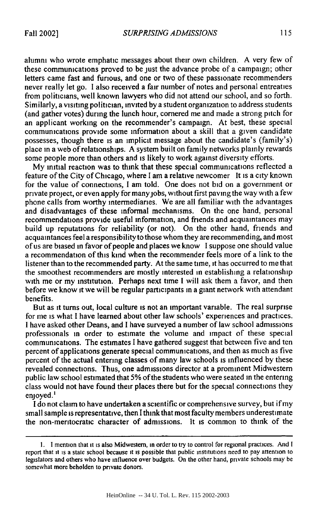alumni who wrote emphatic messages about their own children. A very few of these communications proved to be just the advance probe of a campaign; other letters came fast and furious, and one or two of these passionate recommenders never really let go. I also received a fair number of notes and personal entreaties from politicians, well known lawyers who did not attend our school, and so forth. Similarly, a visiting politician, invited by a student organization to address students (and gather votes) during the lunch hour, cornered me and made a strong pitch for an applicant working on the recommender's campaign. At best, these special communications provide some information about a skill that a given candidate possesses, though there is an implicit message about the candidate's (family's) place in a web of relationships. A system built on family networks plainly rewards some people more than others and is likely to work against diversity efforts.

My initial reaction was to think that these special communications reflected a feature of the City of Chicago, where I am a relative newcomer It is a city known for the value of connections, I am told. One does not bid on a government or private project, or even apply for manyjobs, without first paving the way with a few phone calls from worthy intermediaries. We are all familiar with the advantages and disadvantages of these informal mechanisms. On the one hand, personal recommendations provide useful information, and friends and acquaintances may build up reputations for reliability (or not). On the other hand, friends and acquaintances feel a responsibilityto those whom they are recommending, and most of us are biased in favor of people and places we know I suppose one should value a recommendation of this kind when the recommender feels more of a link to the listener than to the recommended party. At the same time, **it** has occurred to me that the smoothest recommenders are mostly interested in establishing a relationship with me or my institution. Perhaps next time I will ask them a favor, and then before we know it we will be regular participants in a giant network with attendant benefits.

But as **it** turns out, local culture is not an important variable. The real surprise for me is what I have learned about other law schools' experiences and practices. I have asked other Deans, and I have surveyed a number of law school admissions professionals in order to estimate the volume and impact of these special communications. The estimates I have gathered suggest that between five and ten percent of applications generate special communications, and then as much as five percent of the actual entering classes of many law schools is influenced by these revealed connections. Thus, one admissions director at a prominent Midwestern public law school estimated that **5%** of the students who were seated in the entering class would not have found their places there but for the special connections they enjoyed.<sup>1</sup>

I do not claim to have undertaken a scientific or comprehensive survey, but if my small sample is representative, then I think that most faculty members underestimate the non-meritocratic character of admissions. It is common to think of the

**<sup>1.</sup>** I mention that it is also Midwestern, in order to try to control for regional practices. And I report that **it** is a state school because **it** is possible that public institutions need to pay attention to legislators and others who have influence over budgets. On the other hand, private schools may be somewhat more beholden to private donors.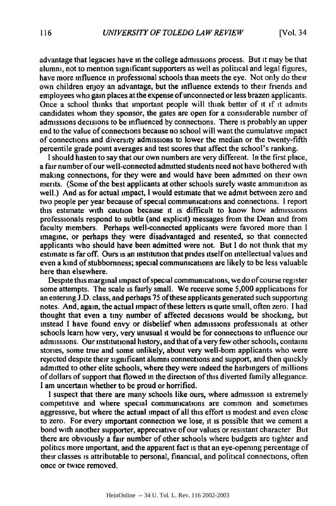advantage that legacies have in the college admissions process. But it may be that alumni, not to mention significant supporters as well as political and legal figures, have more influence in professional schools than meets the eye. Not only do their own children enjoy an advantage, but the influence extends to their friends and employees who gain places at the expense of unconnected or less brazen applicants. Once a school thinks that important people will think better of it if it admits candidates whom they sponsor, the gates are open for a considerable number of admissions decisions to be influenced by connections. There is probably an upper end to the value of connections because no school will want the cumulative impact of connections and diversity admissions to lower the median or the twenty-fifth percentile grade point averages and test scores that affect the school's ranking.

I should hasten to say that our own numbers are very different. In the first place, a fair number of our well-connected admitted students need not have bothered with making connections, for they were and would have been admitted on their own merits. (Some of the best applicants at other schools surely waste ammunition as well.) And as for actual impact, I would estimate that we admit between zero and two people per year because of special communications and connections. I report this estimate with caution because **it** is difficult to know how admissions professionals respond to subtle (and explicit) messages from the Dean and from faculty members. Perhaps well-connected applicants were favored more than I imagine, or perhaps they were disadvantaged and resented, so that connected applicants who should have been admitted were not. But I do not think that my estimate is far off. Ours is an institution that prides itself on intellectual values and even a kind of stubbornness; special communications are likely to be less valuable here than elsewhere.

Despite this marginal impact of special communications, we do of course register some attempts. The scale is fairly small. We receive some 5,000 applications for an entering J.D. class, and perhaps 75 of these applicants generated such supporting notes. And, again, the actual impact of these letters is quite small, often zero. I had thought that even a tiny number of affected decisions would be shocking, but instead I have found envy or disbelief when admissions professionals at other schools learn how very, very unusual it would be for connections to influence our admissions. Our institutional history, and that of a very few other schools, contains stories, some true and some unlikely, about very well-born applicants who were rejected despite their significant alumni connections and support, and then quickly admitted to other elite schools, where they were indeed the harbingers of millions of dollars of support that flowed in the direction of this diverted family allegiance. I am uncertain whether to be proud or horrified.

I suspect that there are many schools like ours, where admission is extremely competitive and where special communications are common and sometimes aggressive, but where the actual impact of all this effort is modest and even close to zero. For every important connection we lose, it is possible that we cement a bond with another supporter, appreciative of our values or resistant character But there are obviously a fair number of other schools where budgets are tighter and politics more important, and the apparent fact is that an eye-opening percentage of their classes is attributable to personal, financial, and political connections, often once or twice removed.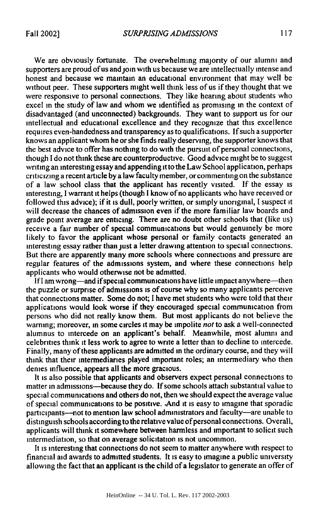We are obviously fortunate. The overwhelming majority of our alumni and supporters are proud of us and join with us because we are intellectually intense and honest and because we maintain an educational environment that may well be without peer. These supporters might well think less of us if they thought that we were responsive to personal connections. They like hearing about students who excel in the study of law and whom we identified as promising in the context of disadvantaged (and unconnected) backgrounds. They want to support us for our intellectual and educational excellence and they recognize that this excellence requires even-handedness and transparency as to qualifications. If such a supporter knows an applicant whom he or she finds really deserving, the supporter knows that the best advice to offer has nothing to do with the pursuit of personal connections, though I do not think these are counterproductive. Good advice might be to suggest writing an interesting essay and appending it to the Law School application, perhaps criticizing a recent article by a law faculty member, or commenting on the substance of a law school class that the applicant has recently visited. If the essay is interesting, I warrant it helps (though I know of no applicants who have received or followed this advice); if it is dull, poorly written, or simply unoriginal, I suspect it will decrease the chances of admission even if the more familiar law boards and grade point average are enticing. There are no doubt other schools that (like us) receive a fair number of special communications but would genuinely be more likely to favor the applicant whose personal or family contacts generated an interesting essay rather than just a letter drawing attention to special connections. But there are apparently many more schools where connections and pressure are regular features of the admissions system, and where these connections help applicants who would otherwise not be admitted.

If I am wrong-and if special communications have little impact anywhere-then the puzzle or surprise of admissions is of course why so many applicants perceive that connections matter. Some do not; **I** have met students who were told that their applications would look worse if they encouraged special communication from persons who did not really know them. But most applicants do not believe the warning; moreover, in some circles **it** may be impolite not to ask a well-connected alumnus to intercede on an applicant's behalf. Meanwhile, most alumni and celebrities think **it** less work to agree to write a letter than to decline to intercede. Finally, many of these applicants are admitted in the ordinary course, and they will think that their intermediaries played important roles; an intermediary who then denies influence, appears all the more gracious.

It is also possible that applicants and observers expect personal connections to matter in admissions-because they do. If some schools attach substantial value to special communications and others do not, then we should expect the average value of special communications to be positive. .And it is easy to imagine that sporadic participants--not to mention law school administrators and faculty-are unable to distinguish schools according to the relative value of personal connections. Overall, applicants will think it somewhere between harmless and important to solicit such intermediation, so that on average solicitation is not uncommon.

It is interesting that connections do not seem to matter anywhere with respect to financial aid awards to admitted students. It is easy to imagine a public university allowing the fact that an applicant is the child of a legislator to generate an offer of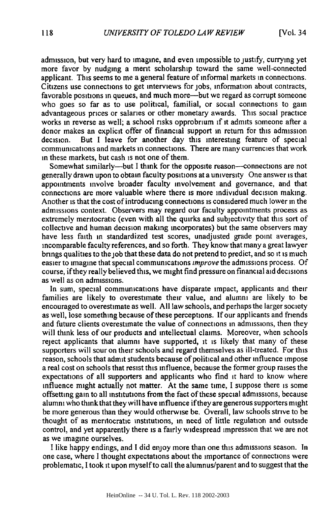admission, but very hard to imagine, and even impossible to justify, currying yet more favor by nudging a merit scholarship toward the same well-connected applicant. This seems to me a general feature of informal markets in connections. Citizens use connections to get interviews for jobs, information about contracts, favorable positions in queues, and much more—but we regard as corrupt someone who goes so far as to use political, familial, or social connections to gain advantageous prices or salaries or other monetary awards. This social practice works in reverse as well; a school risks opprobrium if it admits someone after a donor makes an explicit offer of financial support in return for this admission decision. But I leave for another day this interesting feature of special communications and markets in connections. There are many currencies that work in these markets, but cash is not one of them.

Somewhat similarly--but I think for the opposite reason--connections are not generally drawn upon to obtain faculty positions at a university One answer is that appointments involve broader faculty involvement and governance, and that connections are more valuable where there is more individual decision making. Another is that the cost of introducing connections is considered much lower in the admissions context. Observers may regard our faculty appointments process as extremely meritocratic (even with all the quirks and subjectivity that this sort of collective and human decision making incorporates) but the same observers may have less faith in standardized test scores, unadjusted grade point averages, incomparable faculty references, and so forth. They know that many a great lawyer brings qualities to the job that these data do not pretend to predict, and so it is much easier to imagine that special communications *improve* the admissions process. Of course, if they really believed this, we might find pressure on financial aid decisions as well as on admissions.

In sum, special communications have disparate impact, applicants and their families are likely to overestimate their value, and alumni are likely to be encouraged to overestimate as well. All law schools, and perhaps the larger society as well, lose something because of these perceptions. If our applicants and friends and future clients overestimate the value of connections in admissions, then they will think less of our products and intellectual claims. Moreover, when schools reject applicants that alumni have supported, it is likely that many of these supporters will sour on their schools and regard themselves as ill-treated. For this reason, schools that admit students because of political and other influence impose a real cost on schools that resist this influence, because the former group raises the expectations of all supporters and applicants who find it hard to know where influence might actually not matter. At the same time, I suppose there is some offsetting gain to all institutions from the fact of these special admissions, because alumni who think that they will have influence if they are generous supporters might be more generous than they would otherwise be. Overall, law schools strive to **be** thought of as meritocratic institutions, in need of little regulation and outside control, and yet apparently there is a fairly widespread impression that we are not as we imagine ourselves.

I like happy endings, and I did enjoy more than one this admissions season. In one case, where I thought expectations about the importance of connections were problematic, I took it upon myself to call the alumnus/parent and to suggest that the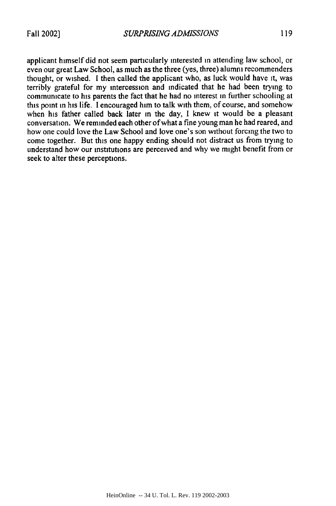applicant himself did not seem particularly interested in attending law school, or even our great Law School, as much as the three (yes, three) alumni recommenders thought, or wished. **I** then called the applicant who, as luck would have it, was terribly grateful for my intercession and indicated that he had been trying to communicate to his parents the fact that he had no interest in further schooling at this point in his life. I encouraged him to talk with them, of course, and somehow when his father called back later in the day, I knew it would be a pleasant conversation. We reminded each other of what a fine young man he had reared, and how one could love the Law School and love one's son without forcing the two to come together. But this one happy ending should not distract us from trying to understand how our institutions are perceived and why we might benefit from or seek to alter these perceptions.